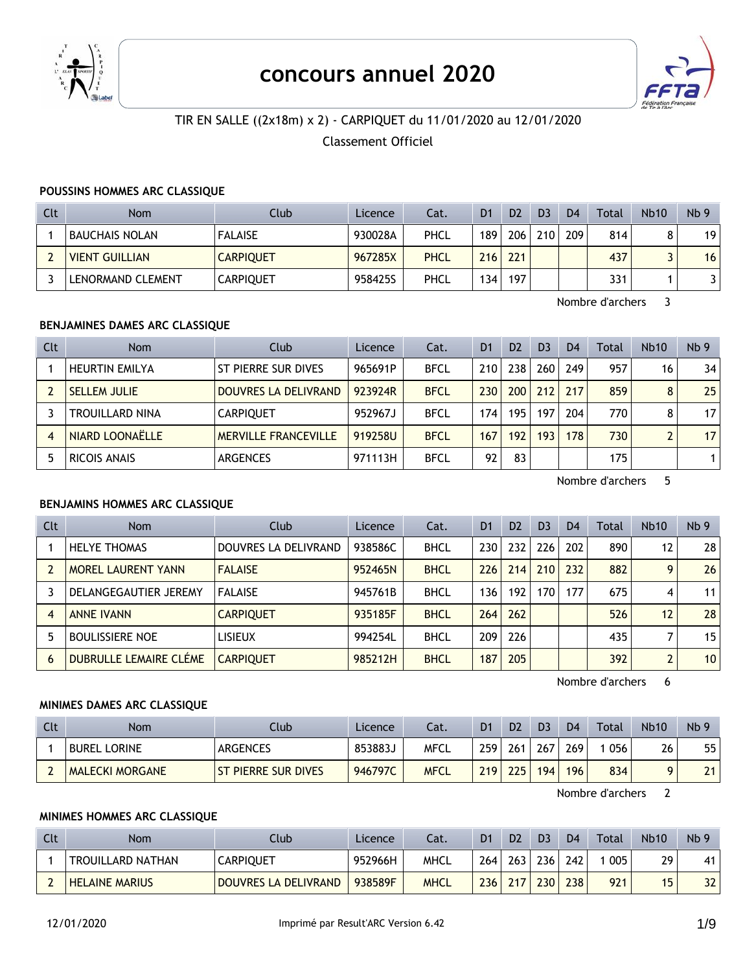

# **concours annuel 2020**



# TIR EN SALLE ((2x18m) x 2) - CARPIQUET du 11/01/2020 au 12/01/2020

Classement Officiel

#### **POUSSINS HOMMES ARC CLASSIQUE**

| Clt | <b>Nom</b>            | Club             | Licence | Cat.        | D <sub>1</sub> | D <sub>2</sub> | D <sub>3</sub> | D <sub>4</sub> | Total | <b>Nb10</b> | Nb <sub>9</sub> |
|-----|-----------------------|------------------|---------|-------------|----------------|----------------|----------------|----------------|-------|-------------|-----------------|
|     | BAUCHAIS NOLAN        | <b>FALAISE</b>   | 930028A | PHCL        | 189            | 206            | 210            | 209            | 814   |             | 19              |
|     | <b>VIENT GUILLIAN</b> | <b>CARPIQUET</b> | 967285X | <b>PHCL</b> | 216            | 221            |                |                | 437   |             | 16              |
|     | LENORMAND CLEMENT     | <b>CARPIQUET</b> | 958425S | PHCL        | 134            | 197            |                |                | 331   |             |                 |

Nombre d'archers 3

#### **BENJAMINES DAMES ARC CLASSIQUE**

| Clt | <b>Nom</b>             | Club                        | Licence | Cat.        | D <sub>1</sub> | D <sub>2</sub> | D <sub>3</sub> | D <sub>4</sub> | Total | <b>Nb10</b>    | Nb <sub>9</sub> |
|-----|------------------------|-----------------------------|---------|-------------|----------------|----------------|----------------|----------------|-------|----------------|-----------------|
|     | <b>HEURTIN EMILYA</b>  | ST PIERRE SUR DIVES         | 965691P | <b>BFCL</b> | 210            | 238            | 260            | 249            | 957   | 16             | 34              |
|     | <b>SELLEM JULIE</b>    | DOUVRES LA DELIVRAND        | 923924R | <b>BFCL</b> | 230            | 200            | 212            | 217            | 859   | 8              | 25              |
|     | <b>TROUILLARD NINA</b> | <b>CARPIOUET</b>            | 952967J | <b>BFCL</b> | 174            | 195            | 197            | 204            | 770   | 8              | 17 <sup>1</sup> |
| 4   | NIARD LOONAËLLE        | <b>MERVILLE FRANCEVILLE</b> | 919258U | <b>BFCL</b> | 167            | 192            | 193            | 178            | 730   | $\overline{2}$ | 17              |
|     | RICOIS ANAIS           | <b>ARGENCES</b>             | 971113H | <b>BFCL</b> | 92             | 83             |                |                | 175   |                |                 |

Nombre d'archers 5

#### **BENJAMINS HOMMES ARC CLASSIQUE**

| <b>Clt</b> | <b>Nom</b>                    | Club                 | Licence | Cat.        | D <sub>1</sub> | D <sub>2</sub> | D <sub>3</sub> | D <sub>4</sub> | Total | <b>Nb10</b>    | Nb <sub>9</sub> |
|------------|-------------------------------|----------------------|---------|-------------|----------------|----------------|----------------|----------------|-------|----------------|-----------------|
|            | <b>HELYE THOMAS</b>           | DOUVRES LA DELIVRAND | 938586C | <b>BHCL</b> | 230            | 232            | 226            | 202            | 890   | 12             | 28              |
|            | <b>MOREL LAURENT YANN</b>     | <b>FALAISE</b>       | 952465N | <b>BHCL</b> | 226            | 214            | 210            | 232            | 882   | 9              | 26              |
|            | DELANGEGAUTIER JEREMY         | <b>FALAISE</b>       | 945761B | <b>BHCL</b> | 136            | 192            | 170            | 177            | 675   | 4              | 11              |
|            | <b>ANNE IVANN</b>             | <b>CARPIOUET</b>     | 935185F | <b>BHCL</b> | 264            | 262            |                |                | 526   | 12             | 28              |
|            | <b>BOULISSIERE NOE</b>        | LISIEUX              | 994254L | <b>BHCL</b> | 209            | 226            |                |                | 435   |                | 15              |
| 6          | <b>DUBRULLE LEMAIRE CLÉME</b> | <b>CARPIOUET</b>     | 985212H | <b>BHCL</b> | 187            | 205            |                |                | 392   | $\overline{2}$ | 10 <sup>1</sup> |

Nombre d'archers 6

#### **MINIMES DAMES ARC CLASSIQUE**

| Clt | Nom                    | Club                       | <b>Licence</b> | Cat.        | D1   | D <sub>2</sub> | D <sub>3</sub> | D <sub>4</sub> | Total | <b>Nb10</b> | Nb <sub>9</sub> |
|-----|------------------------|----------------------------|----------------|-------------|------|----------------|----------------|----------------|-------|-------------|-----------------|
|     | <b>BUREL LORINE</b>    | <b>ARGENCES</b>            | 853883J        | MFCL        | 259  | 261            | 267            | 269            | 056   | 26          | 55              |
|     | <b>MALECKI MORGANE</b> | <b>ST PIERRE SUR DIVES</b> | 946797C        | <b>MFCL</b> | 2191 | 225            | 194            | 196            | 834   |             | 21              |

Nombre d'archers 2

#### **MINIMES HOMMES ARC CLASSIQUE**

| Clt | <b>Nom</b>               | Club                 | Licence | Cat.        | D1  | D <sub>2</sub>   | D <sub>3</sub>   | D <sub>4</sub> | Total | <b>Nb10</b> | Nb <sub>9</sub> |
|-----|--------------------------|----------------------|---------|-------------|-----|------------------|------------------|----------------|-------|-------------|-----------------|
|     | <b>TROUILLARD NATHAN</b> | CARPIQUET            | 952966H | <b>MHCL</b> | 264 | 263 <sub>1</sub> | 236              | 242            | 005   | 29          | 41              |
|     | <b>HELAINE MARIUS</b>    | DOUVRES LA DELIVRAND | 938589F | <b>MHCL</b> | 236 | 217              | 230 <sub>1</sub> | 238            | 921   | 15          |                 |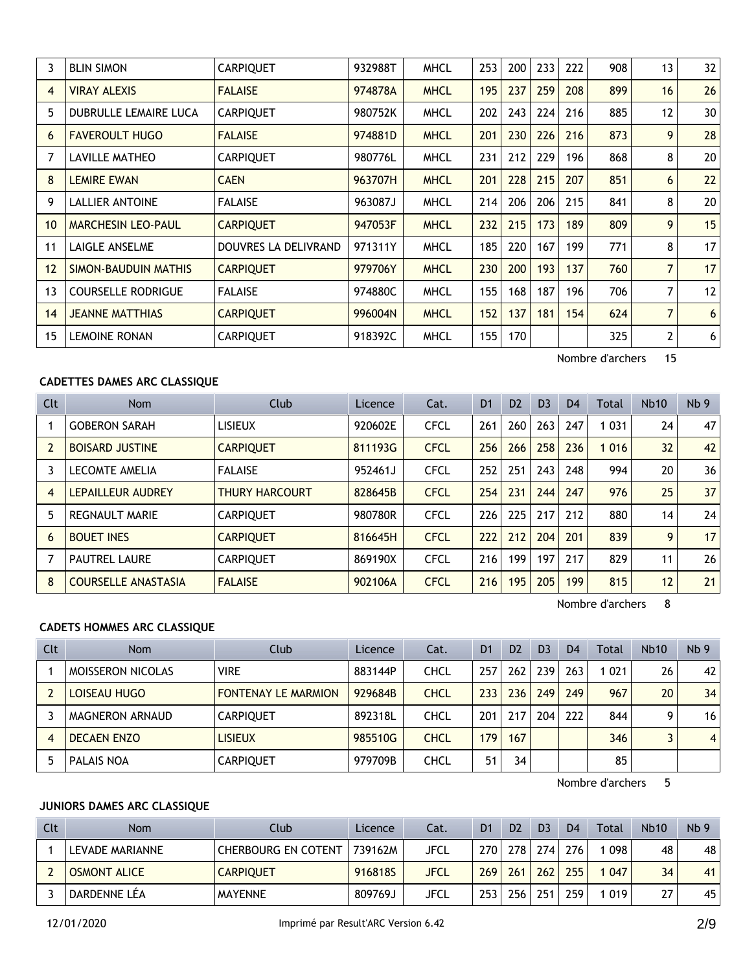| 3              | <b>BLIN SIMON</b>            | <b>CARPIQUET</b>     | 932988T | <b>MHCL</b> | 253 | 200 | 233 | 222 | 908 | 13             | 32 |
|----------------|------------------------------|----------------------|---------|-------------|-----|-----|-----|-----|-----|----------------|----|
| $\overline{4}$ | <b>VIRAY ALEXIS</b>          | <b>FALAISE</b>       | 974878A | <b>MHCL</b> | 195 | 237 | 259 | 208 | 899 | 16             | 26 |
| 5              | <b>DUBRULLE LEMAIRE LUCA</b> | <b>CARPIQUET</b>     | 980752K | <b>MHCL</b> | 202 | 243 | 224 | 216 | 885 | 12             | 30 |
| 6              | <b>FAVEROULT HUGO</b>        | <b>FALAISE</b>       | 974881D | <b>MHCL</b> | 201 | 230 | 226 | 216 | 873 | 9              | 28 |
| 7              | <b>LAVILLE MATHEO</b>        | <b>CARPIQUET</b>     | 980776L | <b>MHCL</b> | 231 | 212 | 229 | 196 | 868 | 8              | 20 |
| 8              | <b>LEMIRE EWAN</b>           | <b>CAEN</b>          | 963707H | <b>MHCL</b> | 201 | 228 | 215 | 207 | 851 | 6              | 22 |
| 9              | LALLIER ANTOINE              | <b>FALAISE</b>       | 963087J | <b>MHCL</b> | 214 | 206 | 206 | 215 | 841 | 8              | 20 |
| 10             | <b>MARCHESIN LEO-PAUL</b>    | <b>CARPIQUET</b>     | 947053F | <b>MHCL</b> | 232 | 215 | 173 | 189 | 809 | 9              | 15 |
| 11             | LAIGLE ANSELME               | DOUVRES LA DELIVRAND | 971311Y | <b>MHCL</b> | 185 | 220 | 167 | 199 | 771 | 8              | 17 |
| 12             | SIMON-BAUDUIN MATHIS         | <b>CARPIQUET</b>     | 979706Y | <b>MHCL</b> | 230 | 200 | 193 | 137 | 760 | $\overline{7}$ | 17 |
| 13             | <b>COURSELLE RODRIGUE</b>    | <b>FALAISE</b>       | 974880C | <b>MHCL</b> | 155 | 168 | 187 | 196 | 706 | 7              | 12 |
| 14             | <b>JEANNE MATTHIAS</b>       | <b>CARPIQUET</b>     | 996004N | <b>MHCL</b> | 152 | 137 | 181 | 154 | 624 | 7              | 6  |
| 15             | <b>LEMOINE RONAN</b>         | <b>CARPIQUET</b>     | 918392C | <b>MHCL</b> | 155 | 170 |     |     | 325 | $\overline{2}$ | 6  |

## **CADETTES DAMES ARC CLASSIQUE**

| Clt            | <b>Nom</b>                 | Club                  | Licence | Cat.        | D <sub>1</sub> | D <sub>2</sub> | D <sub>3</sub> | D <sub>4</sub> | Total   | <b>Nb10</b>     | Nb <sub>9</sub> |
|----------------|----------------------------|-----------------------|---------|-------------|----------------|----------------|----------------|----------------|---------|-----------------|-----------------|
|                | <b>GOBERON SARAH</b>       | <b>LISIEUX</b>        | 920602E | <b>CFCL</b> | 261            | 260            | 263            | 247            | 1 0 3 1 | 24              | 47              |
| $\overline{2}$ | <b>BOISARD JUSTINE</b>     | <b>CARPIQUET</b>      | 811193G | <b>CFCL</b> | 256            | 266            | 258            | 236            | 1 0 1 6 | 32 <sup>2</sup> | 42              |
|                | <b>LECOMTE AMELIA</b>      | <b>FALAISE</b>        | 952461J | <b>CFCL</b> | 252            | 251            | 243            | 248            | 994     | 20              | 36              |
| 4              | LEPAILLEUR AUDREY          | <b>THURY HARCOURT</b> | 828645B | <b>CFCL</b> | 254            | 231            | 244            | 247            | 976     | 25              | 37              |
| 5              | <b>REGNAULT MARIE</b>      | <b>CARPIOUET</b>      | 980780R | <b>CFCL</b> | 226            | 225            | 217            | 212            | 880     | 14              | 24              |
| 6              | <b>BOUET INES</b>          | <b>CARPIOUET</b>      | 816645H | <b>CFCL</b> | 222            | 212            | 204            | 201            | 839     | 9               | 17              |
|                | <b>PAUTREL LAURE</b>       | <b>CARPIOUET</b>      | 869190X | <b>CFCL</b> | 216            | 199            | 197            | 217            | 829     | 11              | 26              |
| 8              | <b>COURSELLE ANASTASIA</b> | <b>FALAISE</b>        | 902106A | <b>CFCL</b> | 216            | 195            | 205            | 199            | 815     | 12              | 21              |

Nombre d'archers 8

#### **CADETS HOMMES ARC CLASSIQUE**

| Clt | <b>Nom</b>               | Club                       | Licence | Cat.        | D <sub>1</sub> | D <sub>2</sub> | D <sub>3</sub> | D <sub>4</sub> | Total | <b>Nb10</b> | Nb <sub>9</sub> |
|-----|--------------------------|----------------------------|---------|-------------|----------------|----------------|----------------|----------------|-------|-------------|-----------------|
|     | <b>MOISSERON NICOLAS</b> | <b>VIRE</b>                | 883144P | CHCL        | 257            | 262            | 239            | 263            | 1021  | 26          | 42              |
|     | LOISEAU HUGO             | <b>FONTENAY LE MARMION</b> | 929684B | <b>CHCL</b> | 233            | 236            | 249            | 249            | 967   | 20          | 34              |
|     | <b>MAGNERON ARNAUD</b>   | <b>CARPIOUET</b>           | 892318L | CHCL        | 201            | 217            | 204            | 222            | 844   | q           | 16              |
| 4   | <b>DECAEN ENZO</b>       | <b>LISIEUX</b>             | 985510G | <b>CHCL</b> | 179            | 167            |                |                | 346   | ર           | $\vert$         |
|     | <b>PALAIS NOA</b>        | <b>CARPIQUET</b>           | 979709B | CHCL        | 51             | 34             |                |                | 85    |             |                 |

Nombre d'archers 5

## **JUNIORS DAMES ARC CLASSIQUE**

| Clt | Nom                 | Club                       | Licence | Cat.        | D1               | D <sub>2</sub> | D <sub>3</sub>   | D <sub>4</sub> | Total | <b>Nb10</b> | Nb <sub>9</sub> |
|-----|---------------------|----------------------------|---------|-------------|------------------|----------------|------------------|----------------|-------|-------------|-----------------|
|     | LEVADE MARIANNE     | <b>CHERBOURG EN COTENT</b> | 739162M | JFCL        | 270              | 278            | 274              | 276            | 098   | 48          | 48              |
|     | <b>OSMONT ALICE</b> | <b>CARPIQUET</b>           | 916818S | <b>JFCL</b> | 269              | 261            | 262 <sub>1</sub> | 255            | 047   | 34          | 41              |
|     | DARDENNE LÉA        | <b>MAYENNE</b>             | 809769J | JFCL        | 253 <sub>1</sub> | 256            | 251              | 259            | 019   | 77          | 45              |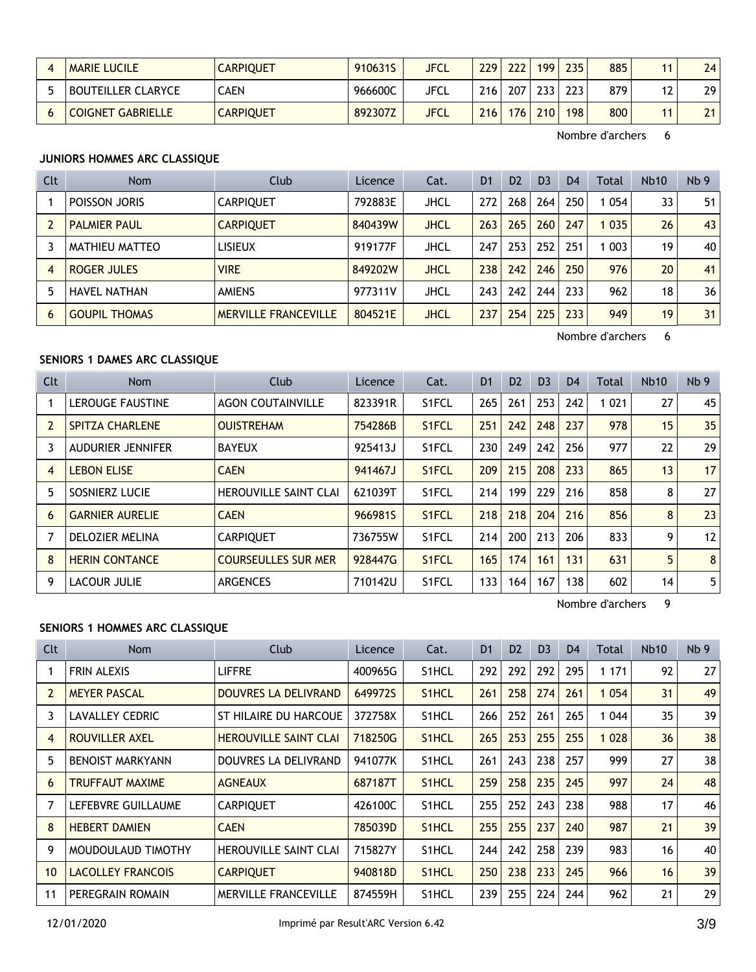| MARIE LUCILE              | CARPIQUET        | 910631S | <b>JFCL</b> | 229     | 222 | 199 | 235 | 885 |    | 24              |
|---------------------------|------------------|---------|-------------|---------|-----|-----|-----|-----|----|-----------------|
| <b>BOUTEILLER CLARYCE</b> | CAEN             | 966600C | JFCL        | $216 +$ | 207 | 233 | 223 | 879 | 12 | 29 <sub>1</sub> |
| <b>COIGNET GABRIELLE</b>  | <b>CARPIQUET</b> | 892307Z | <b>JFCL</b> | 716     | 176 | 210 | 198 | 800 |    | 21              |

# **JUNIORS HOMMES ARC CLASSIQUE**

| Clt            | <b>Nom</b>           | Club                        | Licence | Cat.        | D <sub>1</sub> | D <sub>2</sub> | D <sub>3</sub> | D <sub>4</sub> | Total   | <b>Nb10</b> | Nb <sub>9</sub> |
|----------------|----------------------|-----------------------------|---------|-------------|----------------|----------------|----------------|----------------|---------|-------------|-----------------|
|                | poisson Joris        | <b>CARPIOUET</b>            | 792883E | JHCL        | 272            | 268            | 264            | 250            | 1054    | 33          | 51              |
|                | <b>PALMIER PAUL</b>  | <b>CARPIQUET</b>            | 840439W | JHCL        | 263            | 265            | 260            | 247            | 1 0 3 5 | 26          | 43              |
| 3              | MATHIEU MATTEO       | <b>LISIEUX</b>              | 919177F | JHCL        | 247            | 253            | 252            | 251            | l 003   | 19          | 40              |
| $\overline{4}$ | <b>ROGER JULES</b>   | <b>VIRE</b>                 | 849202W | <b>JHCL</b> | 238            | 242            | 246            | 250            | 976     | 20          | 41              |
| 5              | <b>HAVEL NATHAN</b>  | <b>AMIENS</b>               | 977311V | JHCL        | 243            | 242            | 244            | 233            | 962     | 18          | 36              |
| 6              | <b>GOUPIL THOMAS</b> | <b>MERVILLE FRANCEVILLE</b> | 804521E | <b>JHCL</b> | 237            | 254            | 225            | 233            | 949     | 19          | 31              |

Nombre d'archers 6

## **SENIORS 1 DAMES ARC CLASSIQUE**

| Clt | <b>Nom</b>               | Club                         | Licence | Cat.               | D <sub>1</sub> | D <sub>2</sub> | D <sub>3</sub> | D <sub>4</sub> | Total   | Nb10 | Nb <sub>9</sub> |
|-----|--------------------------|------------------------------|---------|--------------------|----------------|----------------|----------------|----------------|---------|------|-----------------|
|     | <b>LEROUGE FAUSTINE</b>  | <b>AGON COUTAINVILLE</b>     | 823391R | S1FCL              | 265            | 261            | 253            | 242            | 1 0 2 1 | 27   | 45              |
|     | <b>SPITZA CHARLENE</b>   | <b>OUISTREHAM</b>            | 754286B | S1FCL              | 251            | 242            | 248            | 237            | 978     | 15   | 35              |
| 3   | <b>AUDURIER JENNIFER</b> | <b>BAYEUX</b>                | 925413J | S1FCL              | 230            | 249            | 242            | 256            | 977     | 22   | 29              |
| 4   | <b>LEBON ELISE</b>       | <b>CAEN</b>                  | 941467J | S <sub>1</sub> FCL | 209            | 215            | 208            | 233            | 865     | 13   | 17              |
| 5   | SOSNIERZ LUCIE           | <b>HEROUVILLE SAINT CLAI</b> | 621039T | S1FCL              | 214            | 199            | 229            | 216            | 858     | 8    | 27              |
| 6   | <b>GARNIER AURELIE</b>   | <b>CAEN</b>                  | 966981S | S1FCL              | 218            | 218            | 204            | 216            | 856     | 8    | 23              |
|     | DELOZIER MELINA          | <b>CARPIOUET</b>             | 736755W | S1FCL              | 214            | 200            | 213            | 206            | 833     | 9    | 12              |
| 8   | <b>HERIN CONTANCE</b>    | <b>COURSEULLES SUR MER</b>   | 928447G | S <sub>1</sub> FCL | 165            | 174            | 161            | 131            | 631     | 5    | 8               |
| 9   | <b>LACOUR JULIE</b>      | <b>ARGENCES</b>              | 710142U | S1FCL              | 133            | 164            | 167            | 138            | 602     | 14   | 5               |

Nombre d'archers 9

#### **SENIORS 1 HOMMES ARC CLASSIQUE**

| Clt            | Nom                      | Club                         | Licence | Cat.               | D <sub>1</sub> | D <sub>2</sub> | D <sub>3</sub> | D <sub>4</sub> | Total   | <b>Nb10</b> | Nb <sub>9</sub> |
|----------------|--------------------------|------------------------------|---------|--------------------|----------------|----------------|----------------|----------------|---------|-------------|-----------------|
|                | <b>FRIN ALEXIS</b>       | <b>LIFFRE</b>                | 400965G | S <sub>1</sub> HCL | 292            | 292            | 292            | 295            | 1 1 7 1 | 92          | 27              |
| $\overline{2}$ | <b>MEYER PASCAL</b>      | DOUVRES LA DELIVRAND         | 649972S | S <sub>1</sub> HCL | 261            | 258            | 274            | 261            | 1 0 5 4 | 31          | 49              |
| 3              | <b>LAVALLEY CEDRIC</b>   | ST HILAIRE DU HARCOUE        | 372758X | S1HCL              | 266            | 252            | 261            | 265            | 1 0 4 4 | 35          | 39              |
| $\overline{4}$ | ROUVILLER AXEL           | <b>HEROUVILLE SAINT CLAI</b> | 718250G | S <sub>1</sub> HCL | 265            | 253            | 255            | 255            | 1 0 2 8 | 36          | 38              |
| 5              | <b>BENOIST MARKYANN</b>  | DOUVRES LA DELIVRAND         | 941077K | S <sub>1</sub> HCL | 261            | 243            | 238            | 257            | 999     | 27          | 38              |
| 6              | <b>TRUFFAUT MAXIME</b>   | <b>AGNEAUX</b>               | 687187T | S <sub>1</sub> HCL | 259            | 258            | 235            | 245            | 997     | 24          | 48              |
| 7              | LEFEBVRE GUILLAUME       | <b>CARPIQUET</b>             | 426100C | S <sub>1</sub> HCL | 255            | 252            | 243            | 238            | 988     | 17          | 46              |
| 8              | <b>HEBERT DAMIEN</b>     | <b>CAEN</b>                  | 785039D | S <sub>1</sub> HCL | 255            | 255            | 237            | 240            | 987     | 21          | 39              |
| 9              | MOUDOULAUD TIMOTHY       | <b>HEROUVILLE SAINT CLAI</b> | 715827Y | S <sub>1</sub> HCL | 244            | 242            | 258            | 239            | 983     | 16          | 40              |
| 10             | <b>LACOLLEY FRANCOIS</b> | <b>CARPIQUET</b>             | 940818D | S1HCL              | 250            | 238            | 233            | 245            | 966     | 16          | 39              |
| 11             | PEREGRAIN ROMAIN         | <b>MERVILLE FRANCEVILLE</b>  | 874559H | S1HCL              | 239            | 255            | 224            | 244            | 962     | 21          | 29              |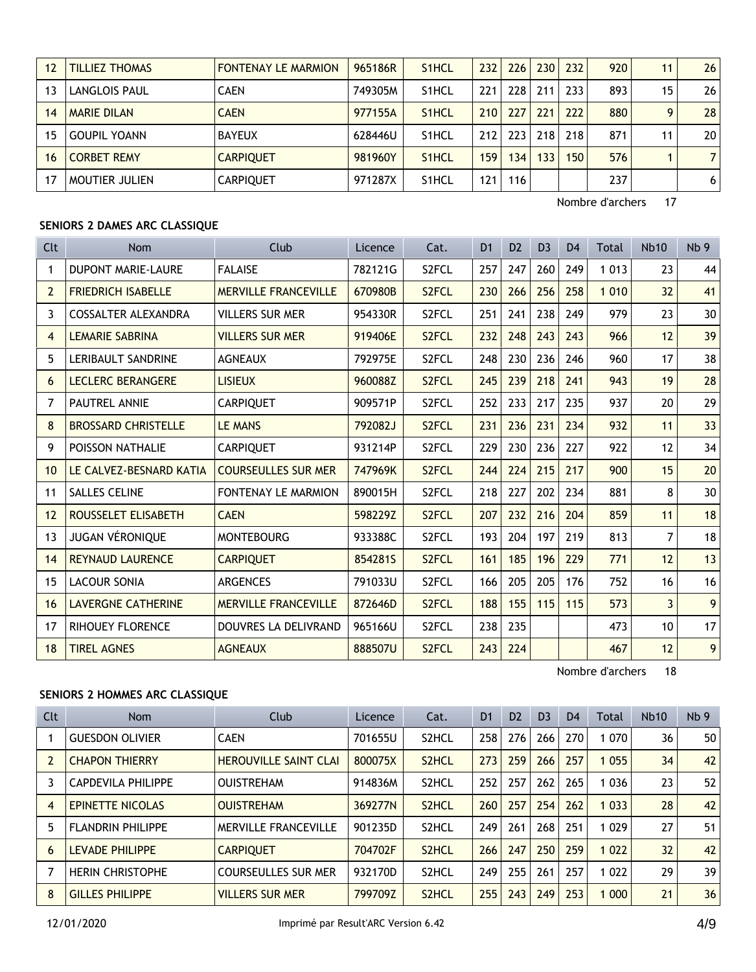| 12 | <b>TILLIEZ THOMAS</b> | <b>FONTENAY LE MARMION</b> | 965186R | S <sub>1</sub> HCL | 232 | 226 | 230 | 232 | 920 | 11 | 26              |
|----|-----------------------|----------------------------|---------|--------------------|-----|-----|-----|-----|-----|----|-----------------|
| 13 | <b>LANGLOIS PAUL</b>  | <b>CAEN</b>                | 749305M | S <sub>1</sub> HCL | 221 | 228 | 211 | 233 | 893 | 15 | 261             |
| 14 | <b>MARIE DILAN</b>    | <b>CAEN</b>                | 977155A | S <sub>1</sub> HCL | 210 | 227 | 221 | 222 | 880 | Q  | 28 <sup>1</sup> |
| 15 | <b>GOUPIL YOANN</b>   | <b>BAYEUX</b>              | 628446U | S <sub>1</sub> HCL | 212 | 223 | 218 | 218 | 871 | 11 | 20 <sub>1</sub> |
| 16 | <b>CORBET REMY</b>    | <b>CARPIOUET</b>           | 981960Y | S <sub>1</sub> HCL | 159 | 134 | 133 | 150 | 576 |    | 71              |
|    | MOUTIER JULIEN        | <b>CARPIQUET</b>           | 971287X | S <sub>1</sub> HCL | 121 | 116 |     |     | 237 |    | <u>6</u>        |

# **SENIORS 2 DAMES ARC CLASSIQUE**

| <b>Clt</b>     | <b>Nom</b>                 | Club                        | Licence | Cat.               | D <sub>1</sub> | D <sub>2</sub> | D <sub>3</sub> | D <sub>4</sub> | Total   | <b>Nb10</b> | Nb <sub>9</sub> |
|----------------|----------------------------|-----------------------------|---------|--------------------|----------------|----------------|----------------|----------------|---------|-------------|-----------------|
| 1              | <b>DUPONT MARIE-LAURE</b>  | <b>FALAISE</b>              | 782121G | S <sub>2</sub> FCL | 257            | 247            | 260            | 249            | 1 0 1 3 | 23          | 44              |
| $\overline{2}$ | <b>FRIEDRICH ISABELLE</b>  | <b>MERVILLE FRANCEVILLE</b> | 670980B | S <sub>2</sub> FCL | 230            | 266            | 256            | 258            | 1 0 1 0 | 32          | 41              |
| 3              | <b>COSSALTER ALEXANDRA</b> | <b>VILLERS SUR MER</b>      | 954330R | S <sub>2</sub> FCL | 251            | 241            | 238            | 249            | 979     | 23          | 30 <sup>°</sup> |
| 4              | <b>LEMARIE SABRINA</b>     | <b>VILLERS SUR MER</b>      | 919406E | S <sub>2</sub> FCL | 232            | 248            | 243            | 243            | 966     | 12          | 39              |
| 5              | <b>LERIBAULT SANDRINE</b>  | <b>AGNEAUX</b>              | 792975E | S <sub>2</sub> FCL | 248            | 230            | 236            | 246            | 960     | 17          | 38              |
| 6              | <b>LECLERC BERANGERE</b>   | <b>LISIEUX</b>              | 960088Z | S <sub>2</sub> FCL | 245            | 239            | 218            | 241            | 943     | 19          | 28              |
| 7              | <b>PAUTREL ANNIE</b>       | <b>CARPIQUET</b>            | 909571P | S <sub>2</sub> FCL | 252            | 233            | 217            | 235            | 937     | 20          | 29              |
| 8              | <b>BROSSARD CHRISTELLE</b> | <b>LE MANS</b>              | 792082J | S <sub>2</sub> FCL | 231            | 236            | 231            | 234            | 932     | 11          | 33              |
| 9              | POISSON NATHALIE           | <b>CARPIQUET</b>            | 931214P | S <sub>2</sub> FCL | 229            | 230            | 236            | 227            | 922     | 12          | 34              |
| 10             | LE CALVEZ-BESNARD KATIA    | <b>COURSEULLES SUR MER</b>  | 747969K | S <sub>2</sub> FCL | 244            | 224            | 215            | 217            | 900     | 15          | 20              |
| 11             | <b>SALLES CELINE</b>       | <b>FONTENAY LE MARMION</b>  | 890015H | S <sub>2</sub> FCL | 218            | 227            | 202            | 234            | 881     | 8           | 30 <sup>°</sup> |
| 12             | ROUSSELET ELISABETH        | <b>CAEN</b>                 | 598229Z | S <sub>2</sub> FCL | 207            | 232            | 216            | 204            | 859     | 11          | 18              |
| 13             | JUGAN VÉRONIQUE            | <b>MONTEBOURG</b>           | 933388C | S2FCL              | 193            | 204            | 197            | 219            | 813     | 7           | 18              |
| 14             | <b>REYNAUD LAURENCE</b>    | <b>CARPIQUET</b>            | 854281S | S <sub>2</sub> FCL | 161            | 185            | 196            | 229            | 771     | 12          | 13              |
| 15             | <b>LACOUR SONIA</b>        | <b>ARGENCES</b>             | 791033U | S2FCL              | 166            | 205            | 205            | 176            | 752     | 16          | 16              |
| 16             | <b>LAVERGNE CATHERINE</b>  | <b>MERVILLE FRANCEVILLE</b> | 872646D | S <sub>2</sub> FCL | 188            | 155            | 115            | 115            | 573     | 3           | 9 <sup>1</sup>  |
| 17             | <b>RIHOUEY FLORENCE</b>    | DOUVRES LA DELIVRAND        | 965166U | S2FCL              | 238            | 235            |                |                | 473     | 10          | 17              |
| 18             | <b>TIREL AGNES</b>         | <b>AGNEAUX</b>              | 888507U | S <sub>2</sub> FCL | 243            | 224            |                |                | 467     | 12          | 9 <sup>1</sup>  |

Nombre d'archers 18

#### **SENIORS 2 HOMMES ARC CLASSIQUE**

| Clt                     | <b>Nom</b>                | Club                         | <b>Licence</b> | Cat.               | D <sub>1</sub> | D <sub>2</sub> | D <sub>3</sub> | D <sub>4</sub> | Total   | <b>Nb10</b> | Nb <sub>9</sub> |
|-------------------------|---------------------------|------------------------------|----------------|--------------------|----------------|----------------|----------------|----------------|---------|-------------|-----------------|
|                         | <b>GUESDON OLIVIER</b>    | <b>CAEN</b>                  | 701655U        | S2HCL              | 258            | 276            | 266            | 270            | 1 0 7 0 | 36          | 50              |
| $\overline{\mathbf{c}}$ | <b>CHAPON THIERRY</b>     | <b>HEROUVILLE SAINT CLAI</b> | 800075X        | S <sub>2</sub> HCL | 273            | 259            | 266            | 257            | 1 0 5 5 | 34          | 42              |
| 3                       | <b>CAPDEVILA PHILIPPE</b> | <b>OUISTREHAM</b>            | 914836M        | S <sub>2</sub> HCL | 252            | 257            | 262            | 265            | 1 0 3 6 | 23          | 52              |
| $\overline{4}$          | <b>EPINETTE NICOLAS</b>   | <b>OUISTREHAM</b>            | 369277N        | S <sub>2</sub> HCL | 260            | 257            | 254            | 262            | 1 0 3 3 | 28          | 42              |
| 5                       | <b>FLANDRIN PHILIPPE</b>  | <b>MERVILLE FRANCEVILLE</b>  | 901235D        | S <sub>2</sub> HCL | 249            | 261            | 268            | 251            | 1 0 2 9 | 27          | 51              |
| 6                       | <b>LEVADE PHILIPPE</b>    | <b>CARPIOUET</b>             | 704702F        | S <sub>2</sub> HCL | 266            | 247            | 250            | 259            | 1 0 2 2 | 32          | 42              |
| 7                       | <b>HERIN CHRISTOPHE</b>   | <b>COURSEULLES SUR MER</b>   | 932170D        | S <sub>2</sub> HCL | 249            | 255            | 261            | 257            | 1 0 2 2 | 29          | 39              |
| 8                       | <b>GILLES PHILIPPE</b>    | <b>VILLERS SUR MER</b>       | 799709Z        | S <sub>2</sub> HCL | 255            | 243            | 249            | 253            | 1 0 0 0 | 21          | 36              |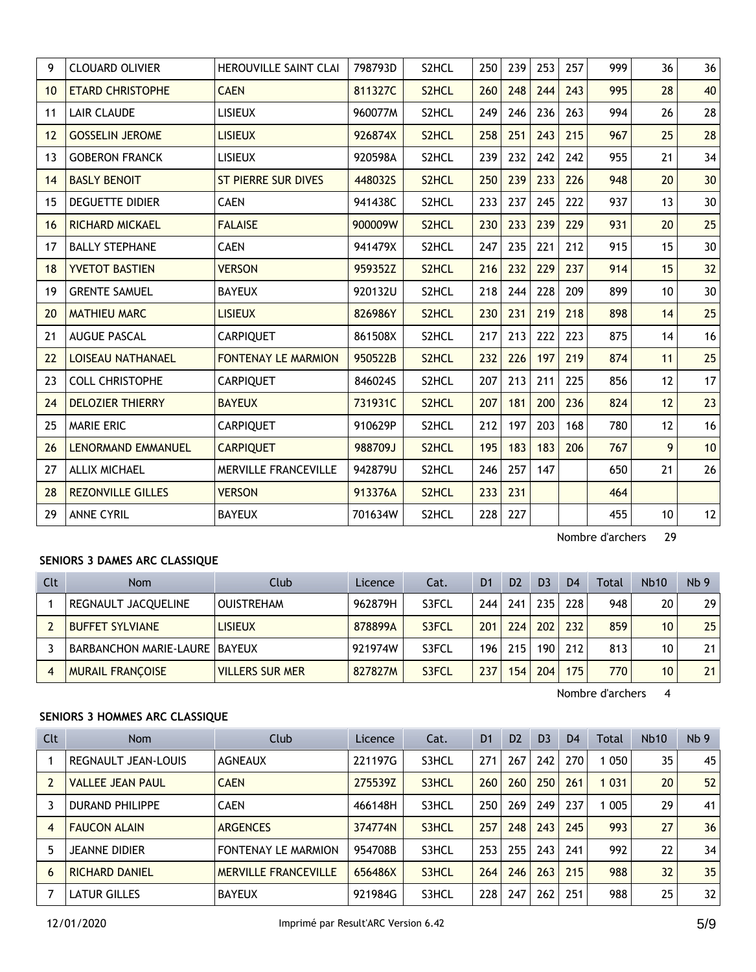| 9  | <b>CLOUARD OLIVIER</b>    | <b>HEROUVILLE SAINT CLAI</b> | 798793D | S2HCL              | 250 | 239 | 253 | 257 | 999 | 36 | 36 |
|----|---------------------------|------------------------------|---------|--------------------|-----|-----|-----|-----|-----|----|----|
| 10 | <b>ETARD CHRISTOPHE</b>   | <b>CAEN</b>                  | 811327C | S2HCL              | 260 | 248 | 244 | 243 | 995 | 28 | 40 |
| 11 | <b>LAIR CLAUDE</b>        | <b>LISIEUX</b>               | 960077M | S2HCL              | 249 | 246 | 236 | 263 | 994 | 26 | 28 |
| 12 | <b>GOSSELIN JEROME</b>    | <b>LISIEUX</b>               | 926874X | S <sub>2</sub> HCL | 258 | 251 | 243 | 215 | 967 | 25 | 28 |
| 13 | <b>GOBERON FRANCK</b>     | <b>LISIEUX</b>               | 920598A | S2HCL              | 239 | 232 | 242 | 242 | 955 | 21 | 34 |
| 14 | <b>BASLY BENOIT</b>       | <b>ST PIERRE SUR DIVES</b>   | 448032S | S2HCL              | 250 | 239 | 233 | 226 | 948 | 20 | 30 |
| 15 | <b>DEGUETTE DIDIER</b>    | <b>CAEN</b>                  | 941438C | S2HCL              | 233 | 237 | 245 | 222 | 937 | 13 | 30 |
| 16 | <b>RICHARD MICKAEL</b>    | <b>FALAISE</b>               | 900009W | S <sub>2</sub> HCL | 230 | 233 | 239 | 229 | 931 | 20 | 25 |
| 17 | <b>BALLY STEPHANE</b>     | <b>CAEN</b>                  | 941479X | S2HCL              | 247 | 235 | 221 | 212 | 915 | 15 | 30 |
| 18 | <b>YVETOT BASTIEN</b>     | <b>VERSON</b>                | 959352Z | S2HCL              | 216 | 232 | 229 | 237 | 914 | 15 | 32 |
| 19 | <b>GRENTE SAMUEL</b>      | <b>BAYEUX</b>                | 920132U | S2HCL              | 218 | 244 | 228 | 209 | 899 | 10 | 30 |
| 20 | <b>MATHIEU MARC</b>       | <b>LISIEUX</b>               | 826986Y | S <sub>2</sub> HCL | 230 | 231 | 219 | 218 | 898 | 14 | 25 |
| 21 | <b>AUGUE PASCAL</b>       | <b>CARPIQUET</b>             | 861508X | S2HCL              | 217 | 213 | 222 | 223 | 875 | 14 | 16 |
| 22 | <b>LOISEAU NATHANAEL</b>  | <b>FONTENAY LE MARMION</b>   | 950522B | S2HCL              | 232 | 226 | 197 | 219 | 874 | 11 | 25 |
| 23 | <b>COLL CHRISTOPHE</b>    | <b>CARPIQUET</b>             | 846024S | S2HCL              | 207 | 213 | 211 | 225 | 856 | 12 | 17 |
| 24 | <b>DELOZIER THIERRY</b>   | <b>BAYEUX</b>                | 731931C | S <sub>2</sub> HCL | 207 | 181 | 200 | 236 | 824 | 12 | 23 |
| 25 | <b>MARIE ERIC</b>         | <b>CARPIQUET</b>             | 910629P | S2HCL              | 212 | 197 | 203 | 168 | 780 | 12 | 16 |
| 26 | <b>LENORMAND EMMANUEL</b> | <b>CARPIQUET</b>             | 988709J | S <sub>2</sub> HCL | 195 | 183 | 183 | 206 | 767 | 9  | 10 |
| 27 | <b>ALLIX MICHAEL</b>      | MERVILLE FRANCEVILLE         | 942879U | S2HCL              | 246 | 257 | 147 |     | 650 | 21 | 26 |
| 28 | <b>REZONVILLE GILLES</b>  | <b>VERSON</b>                | 913376A | S2HCL              | 233 | 231 |     |     | 464 |    |    |
| 29 | <b>ANNE CYRIL</b>         | <b>BAYEUX</b>                | 701634W | S2HCL              | 228 | 227 |     |     | 455 | 10 | 12 |

# **SENIORS 3 DAMES ARC CLASSIQUE**

| Clt | <b>Nom</b>                           | Club                   | Licence | Cat.  | D <sub>1</sub> | D <sub>2</sub>   | D <sub>3</sub> | D <sub>4</sub> | Total | <b>Nb10</b> | Nb <sub>9</sub> |
|-----|--------------------------------------|------------------------|---------|-------|----------------|------------------|----------------|----------------|-------|-------------|-----------------|
|     | REGNAULT JACQUELINE                  | <b>OUISTREHAM</b>      | 962879H | S3FCL | 244.           | 241              | 235            | 228            | 948   | 20          | 29              |
|     | <b>BUFFET SYLVIANE</b>               | <b>LISIEUX</b>         | 878899A | S3FCL | 201            | 224              | 202            | 232            | 859   | 10          | 25              |
|     | <b>BARBANCHON MARIE-LAURE BAYEUX</b> |                        | 921974W | S3FCL | 196            | 215              | 190            | 212            | 813   | 10          | 21              |
|     | <b>MURAIL FRANCOISE</b>              | <b>VILLERS SUR MER</b> | 827827M | S3FCL | 237            | 154 <sub>1</sub> | 204            | 175            | 770   | 10          | 21              |

Nombre d'archers 4

#### **SENIORS 3 HOMMES ARC CLASSIQUE**

| <b>Clt</b> | <b>Nom</b>              | Club                        | Licence | Cat.  | D <sub>1</sub> | D <sub>2</sub> | D <sub>3</sub> | D <sub>4</sub> | Total   | <b>Nb10</b> | Nb <sub>9</sub> |
|------------|-------------------------|-----------------------------|---------|-------|----------------|----------------|----------------|----------------|---------|-------------|-----------------|
|            | REGNAULT JEAN-LOUIS     | <b>AGNEAUX</b>              | 221197G | S3HCL | 271            | 267            | 242            | 270            | 050     | 35          | 45              |
|            | <b>VALLEE JEAN PAUL</b> | <b>CAEN</b>                 | 275539Z | S3HCL | 260            | 260            | 250            | 261            | 1 0 3 1 | 20          | 52              |
|            | <b>DURAND PHILIPPE</b>  | <b>CAEN</b>                 | 466148H | S3HCL | 250            | 269            | 249            | 237            | 005     | 29          | 41              |
| 4          | <b>FAUCON ALAIN</b>     | <b>ARGENCES</b>             | 374774N | S3HCL | 257            | 248            | 243            | 245            | 993     | 27          | 36              |
|            | JEANNE DIDIER           | <b>FONTENAY LE MARMION</b>  | 954708B | S3HCL | 253            | 255            | 243            | 241            | 992     | 22          | 34              |
| 6          | <b>RICHARD DANIEL</b>   | <b>MERVILLE FRANCEVILLE</b> | 656486X | S3HCL | 264            | 246            | 263            | 215            | 988     | 32          | 35              |
|            | LATUR GILLES            | <b>BAYEUX</b>               | 921984G | S3HCL | 228            | 247            | 262            | 251            | 988     | 25          | 32              |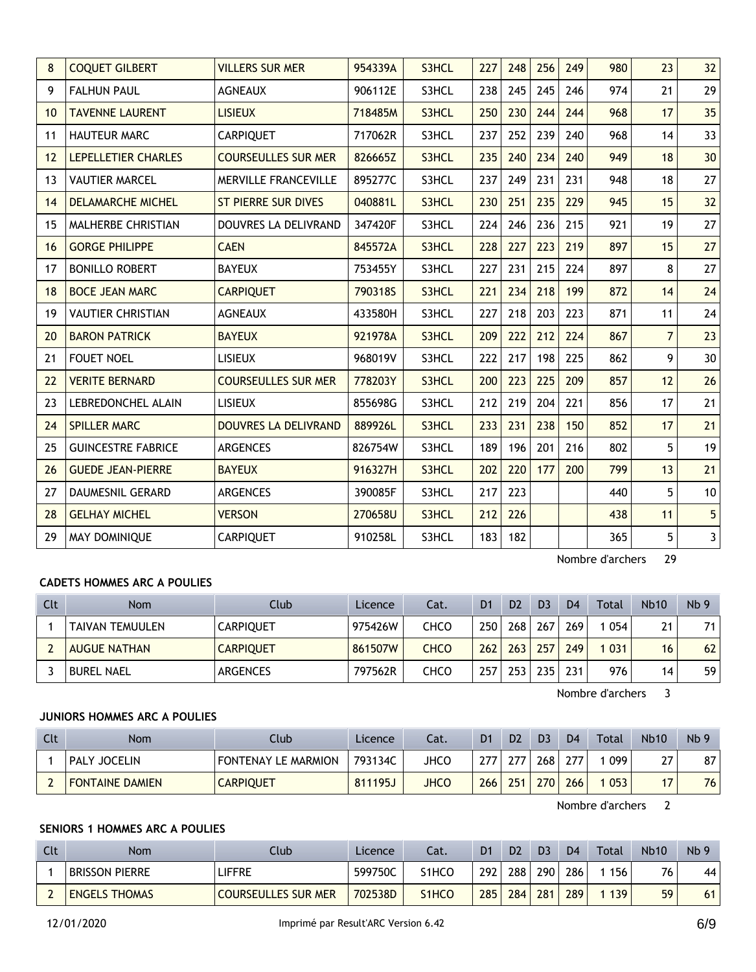| 8  | <b>COQUET GILBERT</b>     | <b>VILLERS SUR MER</b>      | 954339A | S3HCL | 227 | 248 | 256 | 249 | 980 | 23             | 32                      |
|----|---------------------------|-----------------------------|---------|-------|-----|-----|-----|-----|-----|----------------|-------------------------|
| 9  | <b>FALHUN PAUL</b>        | <b>AGNEAUX</b>              | 906112E | S3HCL | 238 | 245 | 245 | 246 | 974 | 21             | 29                      |
| 10 | <b>TAVENNE LAURENT</b>    | <b>LISIEUX</b>              | 718485M | S3HCL | 250 | 230 | 244 | 244 | 968 | 17             | 35                      |
| 11 | <b>HAUTEUR MARC</b>       | <b>CARPIQUET</b>            | 717062R | S3HCL | 237 | 252 | 239 | 240 | 968 | 14             | 33                      |
| 12 | LEPELLETIER CHARLES       | <b>COURSEULLES SUR MER</b>  | 826665Z | S3HCL | 235 | 240 | 234 | 240 | 949 | 18             | 30                      |
| 13 | <b>VAUTIER MARCEL</b>     | MERVILLE FRANCEVILLE        | 895277C | S3HCL | 237 | 249 | 231 | 231 | 948 | 18             | 27                      |
| 14 | <b>DELAMARCHE MICHEL</b>  | <b>ST PIERRE SUR DIVES</b>  | 040881L | S3HCL | 230 | 251 | 235 | 229 | 945 | 15             | 32                      |
| 15 | MALHERBE CHRISTIAN        | DOUVRES LA DELIVRAND        | 347420F | S3HCL | 224 | 246 | 236 | 215 | 921 | 19             | 27                      |
| 16 | <b>GORGE PHILIPPE</b>     | <b>CAEN</b>                 | 845572A | S3HCL | 228 | 227 | 223 | 219 | 897 | 15             | 27                      |
| 17 | <b>BONILLO ROBERT</b>     | <b>BAYEUX</b>               | 753455Y | S3HCL | 227 | 231 | 215 | 224 | 897 | 8              | 27                      |
| 18 | <b>BOCE JEAN MARC</b>     | <b>CARPIQUET</b>            | 790318S | S3HCL | 221 | 234 | 218 | 199 | 872 | 14             | 24                      |
| 19 | <b>VAUTIER CHRISTIAN</b>  | <b>AGNEAUX</b>              | 433580H | S3HCL | 227 | 218 | 203 | 223 | 871 | 11             | 24                      |
| 20 | <b>BARON PATRICK</b>      | <b>BAYEUX</b>               | 921978A | S3HCL | 209 | 222 | 212 | 224 | 867 | $\overline{7}$ | 23                      |
| 21 | <b>FOUET NOEL</b>         | <b>LISIEUX</b>              | 968019V | S3HCL | 222 | 217 | 198 | 225 | 862 | 9              | 30                      |
| 22 | <b>VERITE BERNARD</b>     | <b>COURSEULLES SUR MER</b>  | 778203Y | S3HCL | 200 | 223 | 225 | 209 | 857 | 12             | 26                      |
| 23 | LEBREDONCHEL ALAIN        | <b>LISIEUX</b>              | 855698G | S3HCL | 212 | 219 | 204 | 221 | 856 | 17             | 21                      |
| 24 | <b>SPILLER MARC</b>       | <b>DOUVRES LA DELIVRAND</b> | 889926L | S3HCL | 233 | 231 | 238 | 150 | 852 | 17             | 21                      |
| 25 | <b>GUINCESTRE FABRICE</b> | <b>ARGENCES</b>             | 826754W | S3HCL | 189 | 196 | 201 | 216 | 802 | 5              | 19                      |
| 26 | <b>GUEDE JEAN-PIERRE</b>  | <b>BAYEUX</b>               | 916327H | S3HCL | 202 | 220 | 177 | 200 | 799 | 13             | 21                      |
| 27 | <b>DAUMESNIL GERARD</b>   | <b>ARGENCES</b>             | 390085F | S3HCL | 217 | 223 |     |     | 440 | 5              | 10                      |
| 28 | <b>GELHAY MICHEL</b>      | <b>VERSON</b>               | 270658U | S3HCL | 212 | 226 |     |     | 438 | 11             | 5 <sup>1</sup>          |
| 29 | MAY DOMINIQUE             | CARPIQUET                   | 910258L | S3HCL | 183 | 182 |     |     | 365 | 5              | $\overline{\mathbf{3}}$ |

# **CADETS HOMMES ARC A POULIES**

| Clt | <b>Nom</b>          | Club             | Licence | Cat. | D <sub>1</sub> | D <sub>2</sub> | D3  | D <sub>4</sub> | Total | <b>Nb10</b> | Nb <sub>9</sub> |
|-----|---------------------|------------------|---------|------|----------------|----------------|-----|----------------|-------|-------------|-----------------|
|     | TAIVAN TEMUULEN     | <b>CARPIOUET</b> | 975426W | снсо | 250            | 268            | 267 | 269            | 054   | 21          | 71              |
|     | <b>AUGUE NATHAN</b> | <b>CARPIQUET</b> | 861507W | CHCO | 262            | 263            | 257 | 249            | 031   | 16          | 62              |
|     | <b>BUREL NAEL</b>   | ARGENCES         | 797562R | снсо | 257            | 253            | 235 | 231            | 976.  | 14          | 59              |

Nombre d'archers 3

#### **JUNIORS HOMMES ARC A POULIES**

| Clt | Nom                    | Club                | Licence | Cat. | D1  | D <sub>2</sub> | D <sub>3</sub>   | D <sub>4</sub> | Total | <b>Nb10</b> | Nb <sub>9</sub> |
|-----|------------------------|---------------------|---------|------|-----|----------------|------------------|----------------|-------|-------------|-----------------|
|     | <b>PALY JOCELIN</b>    | FONTENAY LE MARMION | 793134C | JHCO | 277 | 277            | 268              | 277            | 099   | 27          | 87              |
|     | <b>FONTAINE DAMIEN</b> | <b>CARPIQUET</b>    | 811195J | JHCO | 266 | 251            | 270 <sub>1</sub> | 266            | 053   | 17          | 76              |

Nombre d'archers 2

# **SENIORS 1 HOMMES ARC A POULIES**

| Clt | Nom                   | Club                       | Licence | Cat.  | D1  | D <sub>2</sub> | D <sub>3</sub> | D <sub>4</sub> | Total | <b>Nb10</b> | Nb <sub>9</sub> |
|-----|-----------------------|----------------------------|---------|-------|-----|----------------|----------------|----------------|-------|-------------|-----------------|
|     | <b>BRISSON PIERRE</b> | LIFFRE                     | 599750C | S1HCC | 292 | 288            | 290            | 286            | 156   | 76          | 44              |
|     | <b>ENGELS THOMAS</b>  | <b>COURSEULLES SUR MER</b> | 702538D | S1HCO | 285 | 284            | 281            | 289            | 139   | 59          | 61              |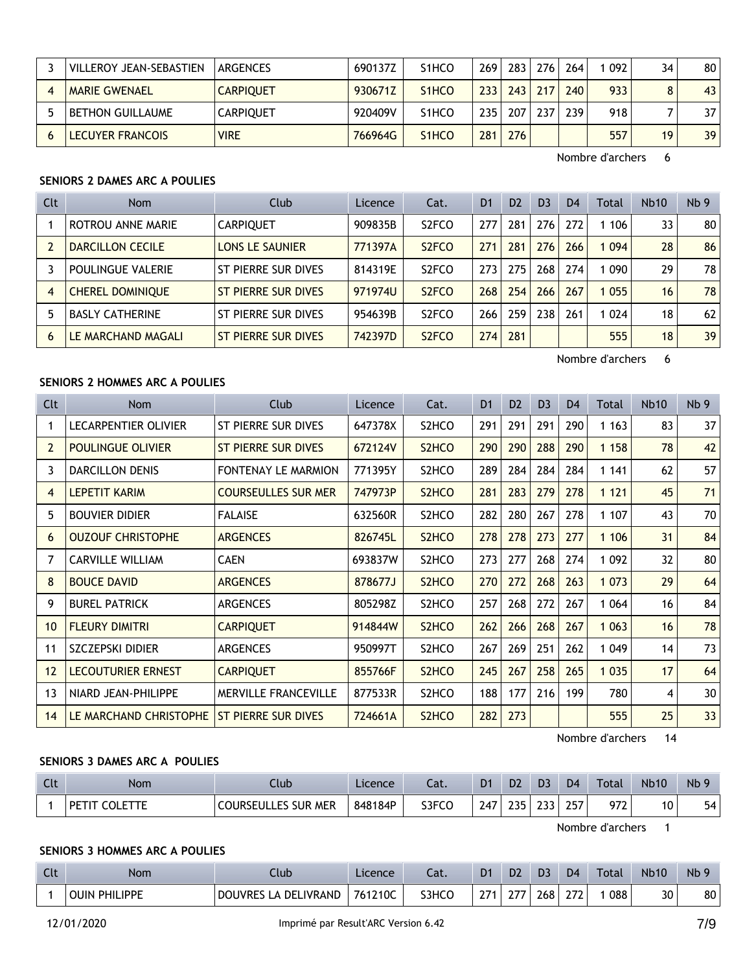| VILLEROY JEAN-SEBASTIEN | <b>ARGENCES</b>  | 690137Z | S <sub>1</sub> HCO              | 269  | 283 | 276 | 264 | 092 | 34 | 80 <sup>°</sup> |
|-------------------------|------------------|---------|---------------------------------|------|-----|-----|-----|-----|----|-----------------|
| <b>MARIE GWENAEL</b>    | <b>CARPIOUET</b> | 930671Z | S <sub>1</sub> H <sub>CO</sub>  | 2331 | 243 | 217 | 240 | 933 | 8  | 43 <sub>1</sub> |
| <b>BETHON GUILLAUME</b> | <b>CARPIOUET</b> | 920409V | S <sub>1</sub> HCO              | 235  | 207 | 237 | 239 | 918 |    | 37 <sup>2</sup> |
| LECUYER FRANCOIS        | <b>VIRE</b>      | 766964G | S <sub>1</sub> H <sub>C</sub> O | 281  | 276 |     |     | 557 | 19 | 39              |

## **SENIORS 2 DAMES ARC A POULIES**

| Clt | <b>Nom</b>              | Club                   | Licence | Cat.                           | D <sub>1</sub> | D <sub>2</sub> | D <sub>3</sub> | D <sub>4</sub> | Total | <b>Nb10</b> | Nb <sub>9</sub> |
|-----|-------------------------|------------------------|---------|--------------------------------|----------------|----------------|----------------|----------------|-------|-------------|-----------------|
|     | ROTROU ANNE MARIE       | <b>CARPIOUET</b>       | 909835B | S <sub>2</sub> FCO             | 277            | 281            | 276            | 272            | 1 106 | 33          | 80 <sup>1</sup> |
|     | <b>DARCILLON CECILE</b> | <b>LONS LE SAUNIER</b> | 771397A | S <sub>2</sub> FCO             | 271            | 281            | 276            | 266            | 1094  | 28          | 86              |
|     | POULINGUE VALERIE       | ST PIERRE SUR DIVES    | 814319E | S <sub>2</sub> FC <sub>O</sub> | 273.           | 275            | 268            | 274            | 090   | 29          | 78              |
| 4   | <b>CHEREL DOMINIOUE</b> | ST PIERRE SUR DIVES    | 971974U | S <sub>2</sub> FCO             | 268            | 254            | 266            | 267            | 1055  | 16          | 78              |
| 5   | <b>BASLY CATHERINE</b>  | ST PIERRE SUR DIVES    | 954639B | S <sub>2</sub> FCO             | 266            | 259            | 238            | 261            | 1 024 | 18          | 62              |
| 6   | LE MARCHAND MAGALI      | ST PIERRE SUR DIVES    | 742397D | S <sub>2</sub> FCO             | 274            | 281            |                |                | 555   | 18          | 39              |

Nombre d'archers 6

## **SENIORS 2 HOMMES ARC A POULIES**

| Clt            | Nom                       | Club                        | Licence | Cat.                           | D <sub>1</sub> | D <sub>2</sub> | D <sub>3</sub> | D <sub>4</sub> | Total   | <b>Nb10</b> | Nb <sub>9</sub> |
|----------------|---------------------------|-----------------------------|---------|--------------------------------|----------------|----------------|----------------|----------------|---------|-------------|-----------------|
|                | LECARPENTIER OLIVIER      | ST PIERRE SUR DIVES         | 647378X | S2HCO                          | 291            | 291            | 291            | 290            | 1 1 6 3 | 83          | 37 <sup>2</sup> |
| $\overline{2}$ | <b>POULINGUE OLIVIER</b>  | ST PIERRE SUR DIVES         | 672124V | S <sub>2</sub> HC <sub>O</sub> | 290            | 290            | 288            | 290            | 1 1 5 8 | 78          | 42              |
| 3              | <b>DARCILLON DENIS</b>    | <b>FONTENAY LE MARMION</b>  | 771395Y | S2HCO                          | 289            | 284            | 284            | 284            | 1 1 4 1 | 62          | 57              |
| 4              | <b>LEPETIT KARIM</b>      | <b>COURSEULLES SUR MER</b>  | 747973P | S <sub>2</sub> HC <sub>O</sub> | 281            | 283            | 279            | 278            | 1 1 2 1 | 45          | 71              |
| 5              | <b>BOUVIER DIDIER</b>     | <b>FALAISE</b>              | 632560R | S2HCO                          | 282            | 280            | 267            | 278            | 1 107   | 43          | 70              |
| 6              | <b>OUZOUF CHRISTOPHE</b>  | <b>ARGENCES</b>             | 826745L | S <sub>2</sub> HC <sub>O</sub> | 278            | 278            | 273            | 277            | 1 1 0 6 | 31          | 84              |
| $\overline{7}$ | <b>CARVILLE WILLIAM</b>   | CAEN                        | 693837W | S2HCO                          | 273            | 277            | 268            | 274            | 1 0 9 2 | 32          | 80              |
| 8              | <b>BOUCE DAVID</b>        | <b>ARGENCES</b>             | 878677J | S <sub>2</sub> HC <sub>O</sub> | 270            | 272            | 268            | 263            | 1 0 7 3 | 29          | 64              |
| 9              | <b>BUREL PATRICK</b>      | <b>ARGENCES</b>             | 805298Z | S2HCO                          | 257            | 268            | 272            | 267            | 1 0 6 4 | 16          | 84              |
| 10             | <b>FLEURY DIMITRI</b>     | <b>CARPIQUET</b>            | 914844W | S <sub>2</sub> HCO             | 262            | 266            | 268            | 267            | 1 0 6 3 | 16          | 78              |
| 11             | SZCZEPSKI DIDIER          | <b>ARGENCES</b>             | 950997T | S2HCO                          | 267            | 269            | 251            | 262            | 1 0 4 9 | 14          | 73              |
| 12             | <b>LECOUTURIER ERNEST</b> | <b>CARPIQUET</b>            | 855766F | S <sub>2</sub> H <sub>CO</sub> | 245            | 267            | 258            | 265            | 1 0 3 5 | 17          | 64              |
| 13             | NIARD JEAN-PHILIPPE       | <b>MERVILLE FRANCEVILLE</b> | 877533R | S2HCO                          | 188            | 177            | 216            | 199            | 780     | 4           | 30              |
| 14             | LE MARCHAND CHRISTOPHE    | ST PIERRE SUR DIVES         | 724661A | S <sub>2</sub> H <sub>CO</sub> | 282            | 273            |                |                | 555     | 25          | 33              |

Nombre d'archers 14

## **SENIORS 3 DAMES ARC A POULIES**

| Clt | Nom             | Llub.                          | Licence | Cat.  | D <sub>1</sub> | D <sub>2</sub> | D <sub>3</sub> | D <sub>4</sub> | Total | <b>Nb10</b> | Nb <sub>9</sub> |
|-----|-----------------|--------------------------------|---------|-------|----------------|----------------|----------------|----------------|-------|-------------|-----------------|
|     | `′ OLE ∶<br>DET | <b>MER</b><br>OURSEULLES SUR . | 848184P | S3FCO | 247            | つつら            | ววว<br>LJ J    | 257            | 972   | 10          | 54              |

Nombre d'archers 1

#### **SENIORS 3 HOMMES ARC A POULIES**

| $\sim$<br>นเ | Nom                     | Club                                               | Licence | - 1<br>-al. | D <sub>1</sub> | D <sub>2</sub>       | D.  | D <sub>4</sub> | Total | <b>Nb10</b> | Nb |
|--------------|-------------------------|----------------------------------------------------|---------|-------------|----------------|----------------------|-----|----------------|-------|-------------|----|
|              | PHILIPPE<br><b>OUIN</b> | <b>DOUVRES</b><br>IVRAND<br><b>DEI</b><br>$\Delta$ | 761210C | S3HCO       | $\sim$         | $\sim$ $\sim$ $\sim$ | 268 | ריר<br>. I L   | 088   | 30          | 80 |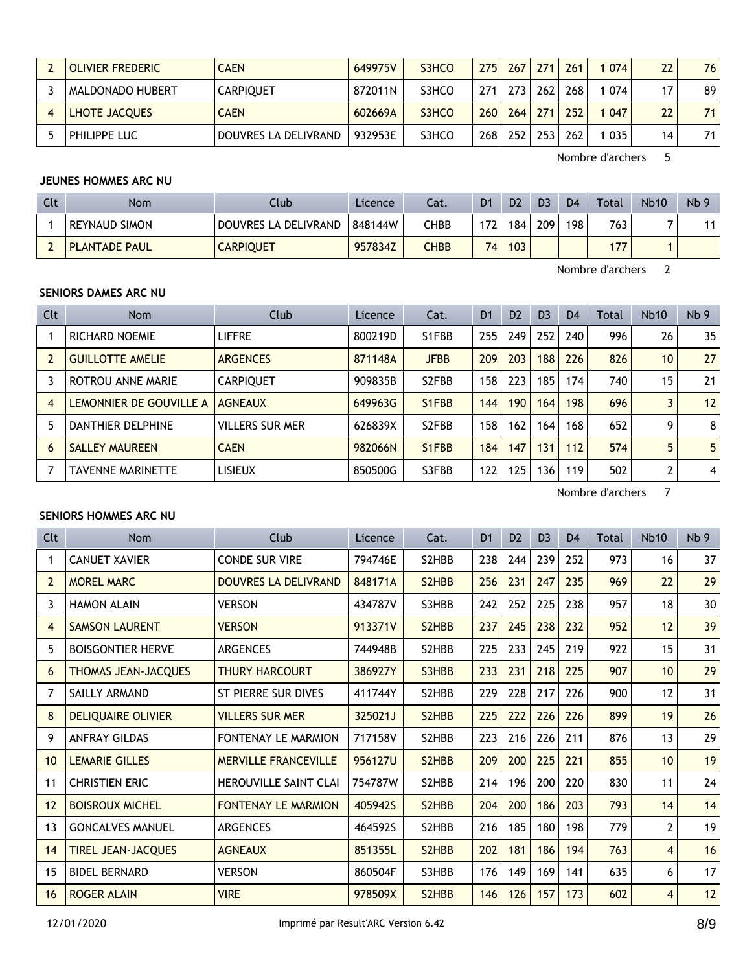| OLIVIER FREDERIC        | <b>CAEN</b>          | 649975V | S3HCO | 275 | 267 | 271 | 261 | 074 | 22 | 76  |
|-------------------------|----------------------|---------|-------|-----|-----|-----|-----|-----|----|-----|
| <b>MALDONADO HUBERT</b> | <b>CARPIOUET</b>     | 872011N | S3HCO | 271 | 273 | 262 | 268 | 074 | 17 | 89  |
| LHOTE JACQUES           | <b>CAEN</b>          | 602669A | S3HCO | 260 | 264 | 271 | 252 | 047 | 22 | 711 |
| PHILIPPE LUC            | DOUVRES LA DELIVRAND | 932953E | S3HCO | 268 | 252 | 253 | 262 | 035 | 14 | 71  |

# **JEUNES HOMMES ARC NU**

| Clt | Nom                  | Club                 | Licence | Cat. | D <sub>1</sub> | D <sub>2</sub> | D3  | D <sub>4</sub> | Total | <b>Nb10</b> | Nb <sub>9</sub> |
|-----|----------------------|----------------------|---------|------|----------------|----------------|-----|----------------|-------|-------------|-----------------|
|     | <b>REYNAUD SIMON</b> | DOUVRES LA DELIVRAND | 848144W | CHBB | 172            | 184            | 209 | 198            | 763   |             |                 |
|     | <b>PLANTADE PAUL</b> | <b>CARPIQUET</b>     | 957834Z | СНВВ | 74.            | 103            |     |                | 77    |             |                 |

Nombre d'archers 2

## **SENIORS DAMES ARC NU**

| Clt | <b>Nom</b>               | Club                   | Licence | Cat.                            | D <sub>1</sub> | D <sub>2</sub> | D <sub>3</sub> | D <sub>4</sub> | Total | <b>Nb10</b>     | Nb <sub>9</sub> |
|-----|--------------------------|------------------------|---------|---------------------------------|----------------|----------------|----------------|----------------|-------|-----------------|-----------------|
|     | <b>RICHARD NOEMIE</b>    | <b>LIFFRE</b>          | 800219D | S1FBB                           | 255            | 249            | 252            | 240            | 996   | 26              | 35 <sub>1</sub> |
|     | <b>GUILLOTTE AMELIE</b>  | <b>ARGENCES</b>        | 871148A | <b>JFBB</b>                     | 209            | 203            | 188            | 226            | 826   | 10 <sup>°</sup> | 27 <sup>1</sup> |
|     | ROTROU ANNE MARIE        | <b>CARPIQUET</b>       | 909835B | S <sub>2</sub> FBB              | 158            | 223            | 185            | 174            | 740   | 15              | 21 <sup>1</sup> |
| 4   | LEMONNIER DE GOUVILLE A  | <b>AGNEAUX</b>         | 649963G | S <sub>1</sub> F <sub>B</sub> B | 144            | 190            | 164            | 198            | 696   | 3               | 12              |
| 5   | DANTHIER DELPHINE        | <b>VILLERS SUR MER</b> | 626839X | S <sub>2</sub> FBB              | 158            | 162            | 164            | 168            | 652   | 9               | 8 <sup>1</sup>  |
| 6   | <b>SALLEY MAUREEN</b>    | <b>CAEN</b>            | 982066N | S <sub>1</sub> FBB              | 184            | 147            | 131            | 112            | 574   | 5               | 5 <sup>1</sup>  |
|     | <b>TAVENNE MARINETTE</b> | <b>LISIEUX</b>         | 850500G | S3FBB                           | 122            | 125            | 136            | 119            | 502   | 2               | 4               |

Nombre d'archers 7

#### **SENIORS HOMMES ARC NU**

| Clt            | Nom                        | <b>Club</b>                  | Licence | Cat.  | D <sub>1</sub> | D <sub>2</sub> | D <sub>3</sub> | D <sub>4</sub> | Total | <b>Nb10</b>     | Nb <sub>9</sub> |
|----------------|----------------------------|------------------------------|---------|-------|----------------|----------------|----------------|----------------|-------|-----------------|-----------------|
| 1              | <b>CANUET XAVIER</b>       | <b>CONDE SUR VIRE</b>        | 794746E | S2HBB | 238            | 244            | 239            | 252            | 973   | 16              | 37              |
| $\overline{2}$ | <b>MOREL MARC</b>          | <b>DOUVRES LA DELIVRAND</b>  | 848171A | S2HBB | 256            | 231            | 247            | 235            | 969   | 22              | 29              |
| 3              | <b>HAMON ALAIN</b>         | <b>VERSON</b>                | 434787V | S3HBB | 242            | 252            | 225            | 238            | 957   | 18              | 30              |
| 4              | <b>SAMSON LAURENT</b>      | <b>VERSON</b>                | 913371V | S2HBB | 237            | 245            | 238            | 232            | 952   | 12              | 39              |
| 5              | <b>BOISGONTIER HERVE</b>   | <b>ARGENCES</b>              | 744948B | S2HBB | 225            | 233            | 245            | 219            | 922   | 15              | 31              |
| 6              | <b>THOMAS JEAN-JACQUES</b> | <b>THURY HARCOURT</b>        | 386927Y | S3HBB | 233            | 231            | 218            | 225            | 907   | 10 <sup>°</sup> | 29              |
| 7              | SAILLY ARMAND              | ST PIERRE SUR DIVES          | 411744Y | S2HBB | 229            | 228            | 217            | 226            | 900   | 12              | 31              |
| 8              | <b>DELIQUAIRE OLIVIER</b>  | <b>VILLERS SUR MER</b>       | 325021J | S2HBB | 225            | 222            | 226            | 226            | 899   | 19              | 26              |
| 9              | <b>ANFRAY GILDAS</b>       | <b>FONTENAY LE MARMION</b>   | 717158V | S2HBB | 223            | 216            | 226            | 211            | 876   | 13              | 29              |
| 10             | <b>LEMARIE GILLES</b>      | <b>MERVILLE FRANCEVILLE</b>  | 956127U | S2HBB | 209            | 200            | 225            | 221            | 855   | 10 <sup>°</sup> | 19              |
| 11             | <b>CHRISTIEN ERIC</b>      | <b>HEROUVILLE SAINT CLAI</b> | 754787W | S2HBB | 214            | 196            | 200            | 220            | 830   | 11              | 24              |
| 12             | <b>BOISROUX MICHEL</b>     | <b>FONTENAY LE MARMION</b>   | 405942S | S2HBB | 204            | 200            | 186            | 203            | 793   | 14              | 14              |
| 13             | <b>GONCALVES MANUEL</b>    | <b>ARGENCES</b>              | 464592S | S2HBB | 216            | 185            | 180            | 198            | 779   | $\mathbf{2}$    | 19              |
| 14             | <b>TIREL JEAN-JACQUES</b>  | <b>AGNEAUX</b>               | 851355L | S2HBB | 202            | 181            | 186            | 194            | 763   | $\overline{4}$  | 16              |
| 15             | <b>BIDEL BERNARD</b>       | <b>VERSON</b>                | 860504F | S3HBB | 176            | 149            | 169            | 141            | 635   | 6               | 17              |
| 16             | <b>ROGER ALAIN</b>         | <b>VIRE</b>                  | 978509X | S2HBB | 146            | 126            | 157            | 173            | 602   | $\overline{4}$  | 12              |